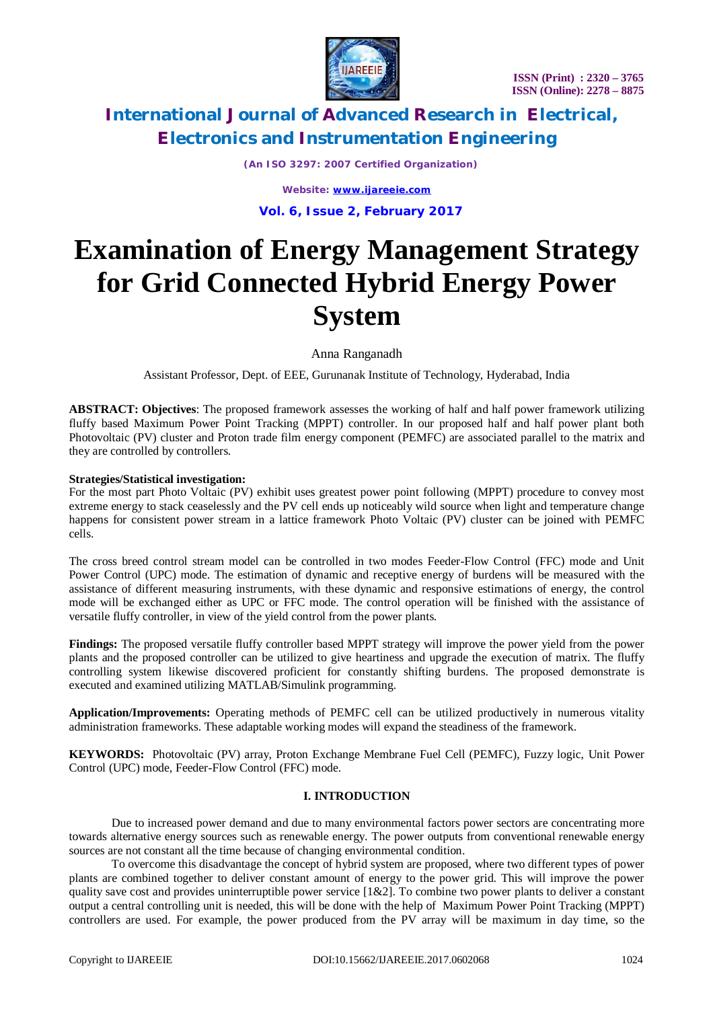

*(An ISO 3297: 2007 Certified Organization)*

*Website: [www.ijareeie.com](http://www.ijareeie.com)* **Vol. 6, Issue 2, February 2017**

# **Examination of Energy Management Strategy for Grid Connected Hybrid Energy Power System**

Anna Ranganadh

Assistant Professor, Dept. of EEE, Gurunanak Institute of Technology, Hyderabad, India

**ABSTRACT: Objectives**: The proposed framework assesses the working of half and half power framework utilizing fluffy based Maximum Power Point Tracking (MPPT) controller. In our proposed half and half power plant both Photovoltaic (PV) cluster and Proton trade film energy component (PEMFC) are associated parallel to the matrix and they are controlled by controllers.

# **Strategies/Statistical investigation:**

For the most part Photo Voltaic (PV) exhibit uses greatest power point following (MPPT) procedure to convey most extreme energy to stack ceaselessly and the PV cell ends up noticeably wild source when light and temperature change happens for consistent power stream in a lattice framework Photo Voltaic (PV) cluster can be joined with PEMFC cells.

The cross breed control stream model can be controlled in two modes Feeder-Flow Control (FFC) mode and Unit Power Control (UPC) mode. The estimation of dynamic and receptive energy of burdens will be measured with the assistance of different measuring instruments, with these dynamic and responsive estimations of energy, the control mode will be exchanged either as UPC or FFC mode. The control operation will be finished with the assistance of versatile fluffy controller, in view of the yield control from the power plants.

**Findings:** The proposed versatile fluffy controller based MPPT strategy will improve the power yield from the power plants and the proposed controller can be utilized to give heartiness and upgrade the execution of matrix. The fluffy controlling system likewise discovered proficient for constantly shifting burdens. The proposed demonstrate is executed and examined utilizing MATLAB/Simulink programming.

**Application/Improvements:** Operating methods of PEMFC cell can be utilized productively in numerous vitality administration frameworks. These adaptable working modes will expand the steadiness of the framework.

**KEYWORDS:** Photovoltaic (PV) array, Proton Exchange Membrane Fuel Cell (PEMFC), Fuzzy logic, Unit Power Control (UPC) mode, Feeder-Flow Control (FFC) mode.

# **I. INTRODUCTION**

Due to increased power demand and due to many environmental factors power sectors are concentrating more towards alternative energy sources such as renewable energy. The power outputs from conventional renewable energy sources are not constant all the time because of changing environmental condition.

To overcome this disadvantage the concept of hybrid system are proposed, where two different types of power plants are combined together to deliver constant amount of energy to the power grid. This will improve the power quality save cost and provides uninterruptible power service [1&2]. To combine two power plants to deliver a constant output a central controlling unit is needed, this will be done with the help of Maximum Power Point Tracking (MPPT) controllers are used. For example, the power produced from the PV array will be maximum in day time, so the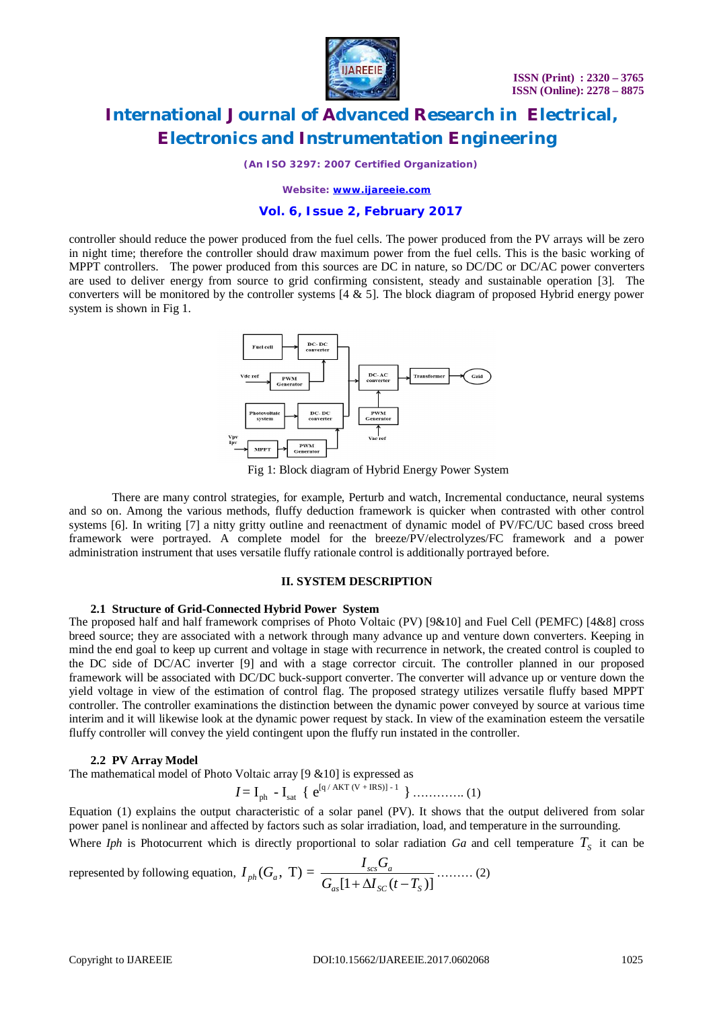

*(An ISO 3297: 2007 Certified Organization)*

*Website: [www.ijareeie.com](http://www.ijareeie.com)*

### **Vol. 6, Issue 2, February 2017**

controller should reduce the power produced from the fuel cells. The power produced from the PV arrays will be zero in night time; therefore the controller should draw maximum power from the fuel cells. This is the basic working of MPPT controllers. The power produced from this sources are DC in nature, so DC/DC or DC/AC power converters are used to deliver energy from source to grid confirming consistent, steady and sustainable operation [3]. The converters will be monitored by the controller systems  $[4 \& 5]$ . The block diagram of proposed Hybrid energy power system is shown in Fig 1.



Fig 1: Block diagram of Hybrid Energy Power System

There are many control strategies, for example, Perturb and watch, Incremental conductance, neural systems and so on. Among the various methods, fluffy deduction framework is quicker when contrasted with other control systems [6]. In writing [7] a nitty gritty outline and reenactment of dynamic model of PV/FC/UC based cross breed framework were portrayed. A complete model for the breeze/PV/electrolyzes/FC framework and a power administration instrument that uses versatile fluffy rationale control is additionally portrayed before.

#### **II. SYSTEM DESCRIPTION**

#### **2.1 Structure of Grid-Connected Hybrid Power System**

The proposed half and half framework comprises of Photo Voltaic (PV) [9&10] and Fuel Cell (PEMFC) [4&8] cross breed source; they are associated with a network through many advance up and venture down converters. Keeping in mind the end goal to keep up current and voltage in stage with recurrence in network, the created control is coupled to the DC side of DC/AC inverter [9] and with a stage corrector circuit. The controller planned in our proposed framework will be associated with DC/DC buck-support converter. The converter will advance up or venture down the yield voltage in view of the estimation of control flag. The proposed strategy utilizes versatile fluffy based MPPT controller. The controller examinations the distinction between the dynamic power conveyed by source at various time interim and it will likewise look at the dynamic power request by stack. In view of the examination esteem the versatile fluffy controller will convey the yield contingent upon the fluffy run instated in the controller.

#### **2.2 PV Array Model**

The mathematical model of Photo Voltaic array [9 &10] is expressed as

$$
I = I_{ph} - I_{sat} \{ e^{[q / AKT (V + IRS)] - 1} \} \dots \dots \dots \dots (1)
$$

Equation (1) explains the output characteristic of a solar panel (PV). It shows that the output delivered from solar power panel is nonlinear and affected by factors such as solar irradiation, load, and temperature in the surrounding.

Where *Iph* is Photocurrent which is directly proportional to solar radiation *Ga* and cell temperature  $T<sub>S</sub>$  it can be

represented by following equation,  $I_{ph}(G_a, T) =$  $[1 + \Delta I_{sc} (t - T_s)]$  $P_{ph}(G_a, T) = \frac{I_{scs}O_a}{C_{em}H + \Delta I_{em}}$  $_{as}\mathbf{L}$   $\mathbf{L}$   $\mathbf{L}$   $_{SC}\mathbf{V}$   $_{s}$  $I_{ph}(G_a, T) = \frac{I_{sc}G_a}{\sigma_{em}H_{c} + I_{c}}$  $G_{as}[1+\Delta I_{sc}(t-T_{s})]$ ……… (2)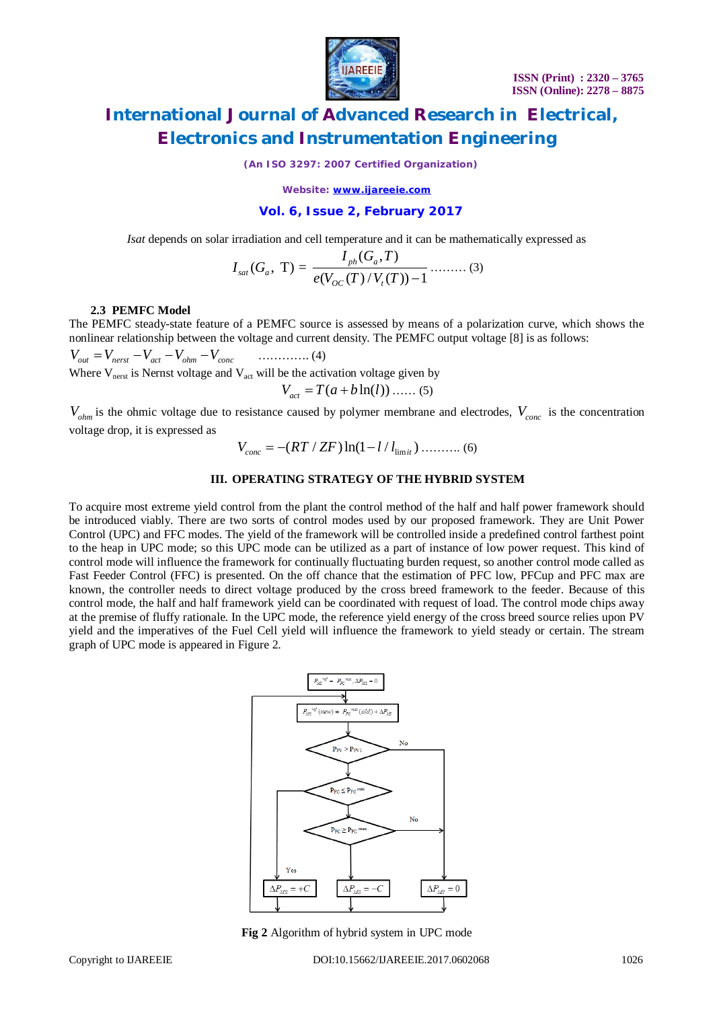

*(An ISO 3297: 2007 Certified Organization)*

*Website: [www.ijareeie.com](http://www.ijareeie.com)*

### **Vol. 6, Issue 2, February 2017**

*Isat* depends on solar irradiation and cell temperature and it can be mathematically expressed as

$$
I_{sat}(G_a, T) = \frac{I_{ph}(G_a, T)}{e(V_{oc}(T)/V_t(T)) - 1} \dots \dots \dots (3)
$$

### **2.3 PEMFC Model**

The PEMFC steady-state feature of a PEMFC source is assessed by means of a polarization curve, which shows the nonlinear relationship between the voltage and current density. The PEMFC output voltage [8] is as follows:

*V V V V V out nerst act ohm conc* …………. (4) Where  $V_{\text{next}}$  is Nernst voltage and  $V_{\text{act}}$  will be the activation voltage given by  $V_{act} = T(a + b \ln(l))$  ...... (5)

*Vohm* is the ohmic voltage due to resistance caused by polymer membrane and electrodes, *Vconc* is the concentration voltage drop, it is expressed as

$$
V_{conc} = -(RT / ZF) \ln(1 - l / l_{\text{limit}}) \dots \dots \dots (6)
$$

### **III. OPERATING STRATEGY OF THE HYBRID SYSTEM**

To acquire most extreme yield control from the plant the control method of the half and half power framework should be introduced viably. There are two sorts of control modes used by our proposed framework. They are Unit Power Control (UPC) and FFC modes. The yield of the framework will be controlled inside a predefined control farthest point to the heap in UPC mode; so this UPC mode can be utilized as a part of instance of low power request. This kind of control mode will influence the framework for continually fluctuating burden request, so another control mode called as Fast Feeder Control (FFC) is presented. On the off chance that the estimation of PFC low, PFCup and PFC max are known, the controller needs to direct voltage produced by the cross breed framework to the feeder. Because of this control mode, the half and half framework yield can be coordinated with request of load. The control mode chips away at the premise of fluffy rationale. In the UPC mode, the reference yield energy of the cross breed source relies upon PV yield and the imperatives of the Fuel Cell yield will influence the framework to yield steady or certain. The stream graph of UPC mode is appeared in Figure 2.



**Fig 2** Algorithm of hybrid system in UPC mode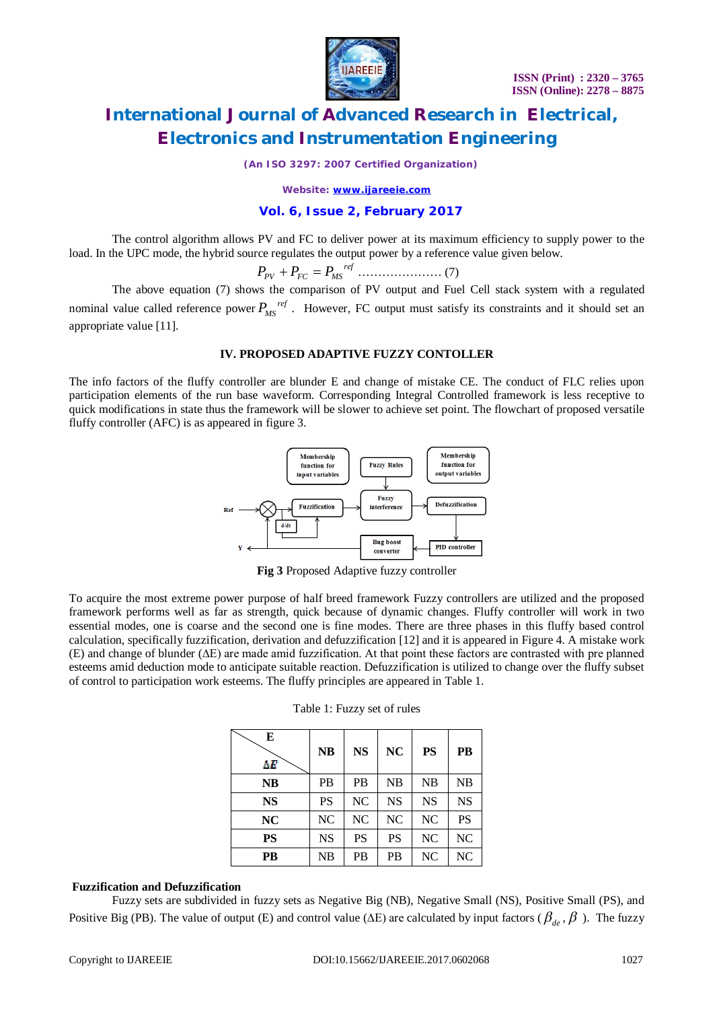

*(An ISO 3297: 2007 Certified Organization)*

*Website: [www.ijareeie.com](http://www.ijareeie.com)*

# **Vol. 6, Issue 2, February 2017**

The control algorithm allows PV and FC to deliver power at its maximum efficiency to supply power to the load. In the UPC mode, the hybrid source regulates the output power by a reference value given below.

*ref P P P PV FC MS* ………………… (7)

The above equation (7) shows the comparison of PV output and Fuel Cell stack system with a regulated nominal value called reference power  $P_{MS}^{ref}$ . However, FC output must satisfy its constraints and it should set an appropriate value [11].

# **IV. PROPOSED ADAPTIVE FUZZY CONTOLLER**

The info factors of the fluffy controller are blunder E and change of mistake CE. The conduct of FLC relies upon participation elements of the run base waveform. Corresponding Integral Controlled framework is less receptive to quick modifications in state thus the framework will be slower to achieve set point. The flowchart of proposed versatile fluffy controller (AFC) is as appeared in figure 3.



**Fig 3** Proposed Adaptive fuzzy controller

To acquire the most extreme power purpose of half breed framework Fuzzy controllers are utilized and the proposed framework performs well as far as strength, quick because of dynamic changes. Fluffy controller will work in two essential modes, one is coarse and the second one is fine modes. There are three phases in this fluffy based control calculation, specifically fuzzification, derivation and defuzzification [12] and it is appeared in Figure 4. A mistake work (E) and change of blunder (∆E) are made amid fuzzification. At that point these factors are contrasted with pre planned esteems amid deduction mode to anticipate suitable reaction. Defuzzification is utilized to change over the fluffy subset of control to participation work esteems. The fluffy principles are appeared in Table 1.

| E<br>ΔE   | <b>NB</b> | <b>NS</b> | <b>NC</b> | <b>PS</b> | <b>PB</b>      |
|-----------|-----------|-----------|-----------|-----------|----------------|
| NB        | <b>PB</b> | <b>PB</b> | NB        | NB        | NB             |
| <b>NS</b> | PS        | NC        | <b>NS</b> | <b>NS</b> | <b>NS</b>      |
| NC        | NC        | NC        | NC        | NC        | <b>PS</b>      |
| <b>PS</b> | <b>NS</b> | <b>PS</b> | PS        | NC        | NC             |
| PB        | NB        | PB        | PB        | NC        | N <sub>C</sub> |

| Table 1: Fuzzy set of rules |  |  |  |  |  |
|-----------------------------|--|--|--|--|--|
|-----------------------------|--|--|--|--|--|

### **Fuzzification and Defuzzification**

Fuzzy sets are subdivided in fuzzy sets as Negative Big (NB), Negative Small (NS), Positive Small (PS), and Positive Big (PB). The value of output (E) and control value ( $\Delta E$ ) are calculated by input factors ( $\beta_{de}$ ,  $\beta$ ). The fuzzy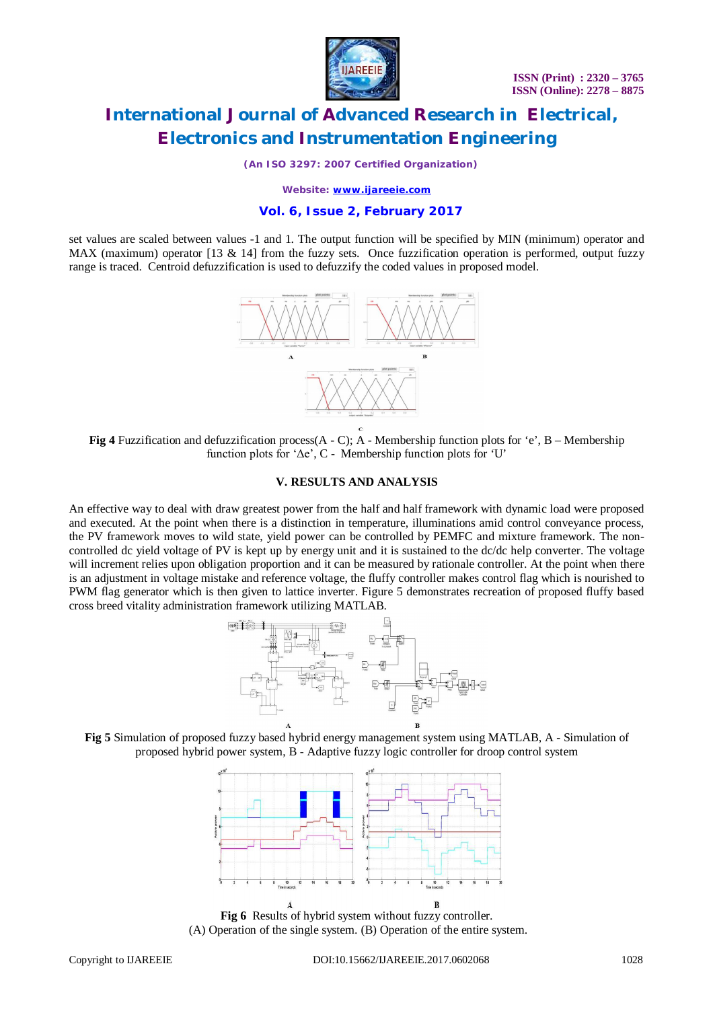

*(An ISO 3297: 2007 Certified Organization)*

*Website: [www.ijareeie.com](http://www.ijareeie.com)*

## **Vol. 6, Issue 2, February 2017**

set values are scaled between values -1 and 1. The output function will be specified by MIN (minimum) operator and MAX (maximum) operator [13 & 14] from the fuzzy sets. Once fuzzification operation is performed, output fuzzy range is traced. Centroid defuzzification is used to defuzzify the coded values in proposed model.



**Fig 4** Fuzzification and defuzzification process(A - C); A - Membership function plots for 'e', B – Membership function plots for 'Δe', C - Membership function plots for 'U'

# **V. RESULTS AND ANALYSIS**

An effective way to deal with draw greatest power from the half and half framework with dynamic load were proposed and executed. At the point when there is a distinction in temperature, illuminations amid control conveyance process, the PV framework moves to wild state, yield power can be controlled by PEMFC and mixture framework. The noncontrolled dc yield voltage of PV is kept up by energy unit and it is sustained to the dc/dc help converter. The voltage will increment relies upon obligation proportion and it can be measured by rationale controller. At the point when there is an adjustment in voltage mistake and reference voltage, the fluffy controller makes control flag which is nourished to PWM flag generator which is then given to lattice inverter. Figure 5 demonstrates recreation of proposed fluffy based cross breed vitality administration framework utilizing MATLAB.







**Fig 6** Results of hybrid system without fuzzy controller. (A) Operation of the single system. (B) Operation of the entire system.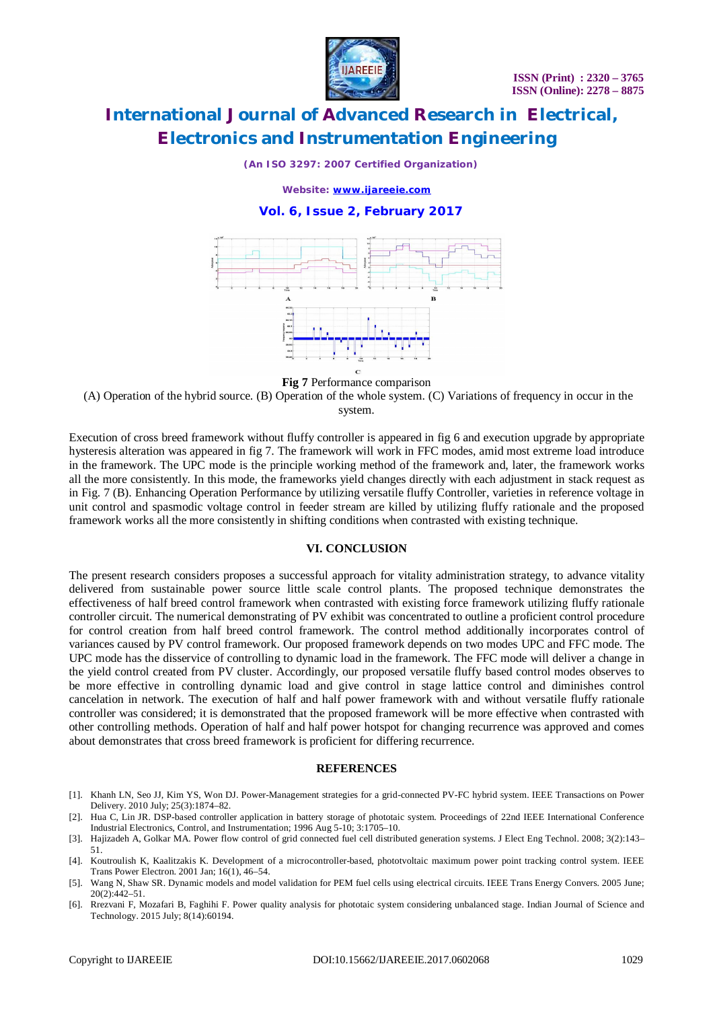

*(An ISO 3297: 2007 Certified Organization)*

*Website: [www.ijareeie.com](http://www.ijareeie.com)*

### **Vol. 6, Issue 2, February 2017**



**Fig 7** Performance comparison

(A) Operation of the hybrid source. (B) Operation of the whole system. (C) Variations of frequency in occur in the system.

Execution of cross breed framework without fluffy controller is appeared in fig 6 and execution upgrade by appropriate hysteresis alteration was appeared in fig 7. The framework will work in FFC modes, amid most extreme load introduce in the framework. The UPC mode is the principle working method of the framework and, later, the framework works all the more consistently. In this mode, the frameworks yield changes directly with each adjustment in stack request as in Fig. 7 (B). Enhancing Operation Performance by utilizing versatile fluffy Controller, varieties in reference voltage in unit control and spasmodic voltage control in feeder stream are killed by utilizing fluffy rationale and the proposed framework works all the more consistently in shifting conditions when contrasted with existing technique.

### **VI. CONCLUSION**

The present research considers proposes a successful approach for vitality administration strategy, to advance vitality delivered from sustainable power source little scale control plants. The proposed technique demonstrates the effectiveness of half breed control framework when contrasted with existing force framework utilizing fluffy rationale controller circuit. The numerical demonstrating of PV exhibit was concentrated to outline a proficient control procedure for control creation from half breed control framework. The control method additionally incorporates control of variances caused by PV control framework. Our proposed framework depends on two modes UPC and FFC mode. The UPC mode has the disservice of controlling to dynamic load in the framework. The FFC mode will deliver a change in the yield control created from PV cluster. Accordingly, our proposed versatile fluffy based control modes observes to be more effective in controlling dynamic load and give control in stage lattice control and diminishes control cancelation in network. The execution of half and half power framework with and without versatile fluffy rationale controller was considered; it is demonstrated that the proposed framework will be more effective when contrasted with other controlling methods. Operation of half and half power hotspot for changing recurrence was approved and comes about demonstrates that cross breed framework is proficient for differing recurrence.

#### **REFERENCES**

- [1]. Khanh LN, Seo JJ, Kim YS, Won DJ. Power-Management strategies for a grid-connected PV-FC hybrid system. IEEE Transactions on Power Delivery. 2010 July; 25(3):1874–82.
- [2]. Hua C, Lin JR. DSP-based controller application in battery storage of phototaic system. Proceedings of 22nd IEEE International Conference Industrial Electronics, Control, and Instrumentation; 1996 Aug 5-10; 3:1705–10.
- [3]. Hajizadeh A, Golkar MA. Power flow control of grid connected fuel cell distributed generation systems. J Elect Eng Technol. 2008; 3(2):143– 51.
- [4]. Koutroulish K, Kaalitzakis K. Development of a microcontroller-based, phototvoltaic maximum power point tracking control system. IEEE Trans Power Electron. 2001 Jan; 16(1), 46–54.
- [5]. Wang N, Shaw SR. Dynamic models and model validation for PEM fuel cells using electrical circuits. IEEE Trans Energy Convers. 2005 June; 20(2):442–51.
- [6]. Rrezvani F, Mozafari B, Faghihi F. Power quality analysis for phototaic system considering unbalanced stage. Indian Journal of Science and Technology. 2015 July; 8(14):60194.